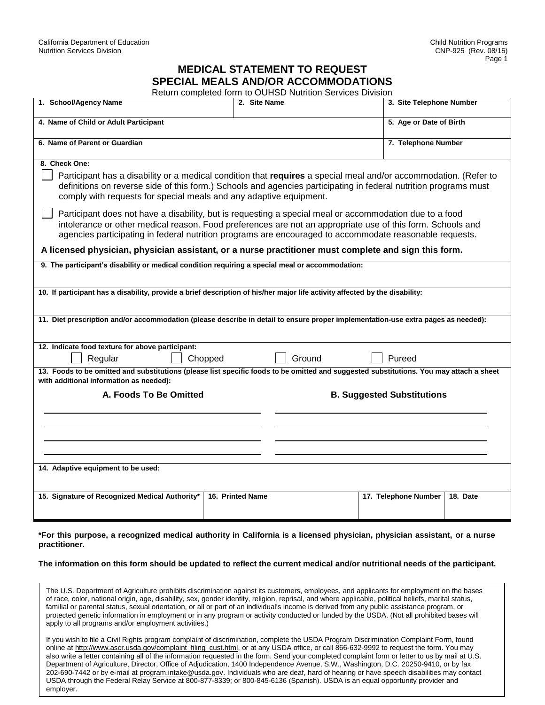## **MEDICAL STATEMENT TO REQUEST SPECIAL MEALS AND/OR ACCOMMODATIONS**

| SPECIAL MEALS AND/OR ACCOMMODATIONS<br>Return completed form to OUHSD Nutrition Services Division                                                                                                                                                                                                                                |                  |                                   |                          |                         |  |
|----------------------------------------------------------------------------------------------------------------------------------------------------------------------------------------------------------------------------------------------------------------------------------------------------------------------------------|------------------|-----------------------------------|--------------------------|-------------------------|--|
| 1. School/Agency Name                                                                                                                                                                                                                                                                                                            | 2. Site Name     |                                   | 3. Site Telephone Number |                         |  |
| 4. Name of Child or Adult Participant                                                                                                                                                                                                                                                                                            |                  |                                   |                          | 5. Age or Date of Birth |  |
| 6. Name of Parent or Guardian                                                                                                                                                                                                                                                                                                    |                  |                                   |                          | 7. Telephone Number     |  |
| 8. Check One:<br>Participant has a disability or a medical condition that requires a special meal and/or accommodation. (Refer to<br>definitions on reverse side of this form.) Schools and agencies participating in federal nutrition programs must<br>comply with requests for special meals and any adaptive equipment.      |                  |                                   |                          |                         |  |
| Participant does not have a disability, but is requesting a special meal or accommodation due to a food<br>intolerance or other medical reason. Food preferences are not an appropriate use of this form. Schools and<br>agencies participating in federal nutrition programs are encouraged to accommodate reasonable requests. |                  |                                   |                          |                         |  |
| A licensed physician, physician assistant, or a nurse practitioner must complete and sign this form.                                                                                                                                                                                                                             |                  |                                   |                          |                         |  |
| 9. The participant's disability or medical condition requiring a special meal or accommodation:                                                                                                                                                                                                                                  |                  |                                   |                          |                         |  |
| 10. If participant has a disability, provide a brief description of his/her major life activity affected by the disability:                                                                                                                                                                                                      |                  |                                   |                          |                         |  |
|                                                                                                                                                                                                                                                                                                                                  |                  |                                   |                          |                         |  |
| 11. Diet prescription and/or accommodation (please describe in detail to ensure proper implementation-use extra pages as needed):                                                                                                                                                                                                |                  |                                   |                          |                         |  |
|                                                                                                                                                                                                                                                                                                                                  |                  |                                   |                          |                         |  |
| 12. Indicate food texture for above participant:<br>Regular<br>Chopped                                                                                                                                                                                                                                                           |                  | Ground                            | Pureed                   |                         |  |
| 13. Foods to be omitted and substitutions (please list specific foods to be omitted and suggested substitutions. You may attach a sheet<br>with additional information as needed):                                                                                                                                               |                  |                                   |                          |                         |  |
| A. Foods To Be Omitted                                                                                                                                                                                                                                                                                                           |                  | <b>B. Suggested Substitutions</b> |                          |                         |  |
|                                                                                                                                                                                                                                                                                                                                  |                  |                                   |                          |                         |  |
|                                                                                                                                                                                                                                                                                                                                  |                  |                                   |                          |                         |  |
|                                                                                                                                                                                                                                                                                                                                  |                  |                                   |                          |                         |  |
| 14. Adaptive equipment to be used:                                                                                                                                                                                                                                                                                               |                  |                                   |                          |                         |  |
| 15. Signature of Recognized Medical Authority*                                                                                                                                                                                                                                                                                   | 16. Printed Name |                                   | 17. Telephone Number     | 18. Date                |  |

## **\*For this purpose, a recognized medical authority in California is a licensed physician, physician assistant, or a nurse practitioner.**

**The information on this form should be updated to reflect the current medical and/or nutritional needs of the participant.**

The U.S. Department of Agriculture prohibits discrimination against its customers, employees, and applicants for employment on the bases of race, color, national origin, age, disability, sex, gender identity, religion, reprisal, and where applicable, political beliefs, marital status, familial or parental status, sexual orientation, or all or part of an individual's income is derived from any public assistance program, or protected genetic information in employment or in any program or activity conducted or funded by the USDA. (Not all prohibited bases will apply to all programs and/or employment activities.)

If you wish to file a Civil Rights program complaint of discrimination, complete the USDA Program Discrimination Complaint Form, found online at [http://www.ascr.usda.gov/complaint\\_filing\\_cust.html,](http://www.ascr.usda.gov/complaint_filing_cust.html) or at any USDA office, or call 866-632-9992 to request the form. You may also write a letter containing all of the information requested in the form. Send your completed complaint form or letter to us by mail at U.S. Department of Agriculture, Director, Office of Adjudication, 1400 Independence Avenue, S.W., Washington, D.C. 20250-9410, or by fax 202-690-7442 or by e-mail at [program.intake@usda.gov.](mailto:program.intake@usda.gov) Individuals who are deaf, hard of hearing or have speech disabilities may contact USDA through the Federal Relay Service at 800-877-8339; or 800-845-6136 (Spanish). USDA is an equal opportunity provider and employer.